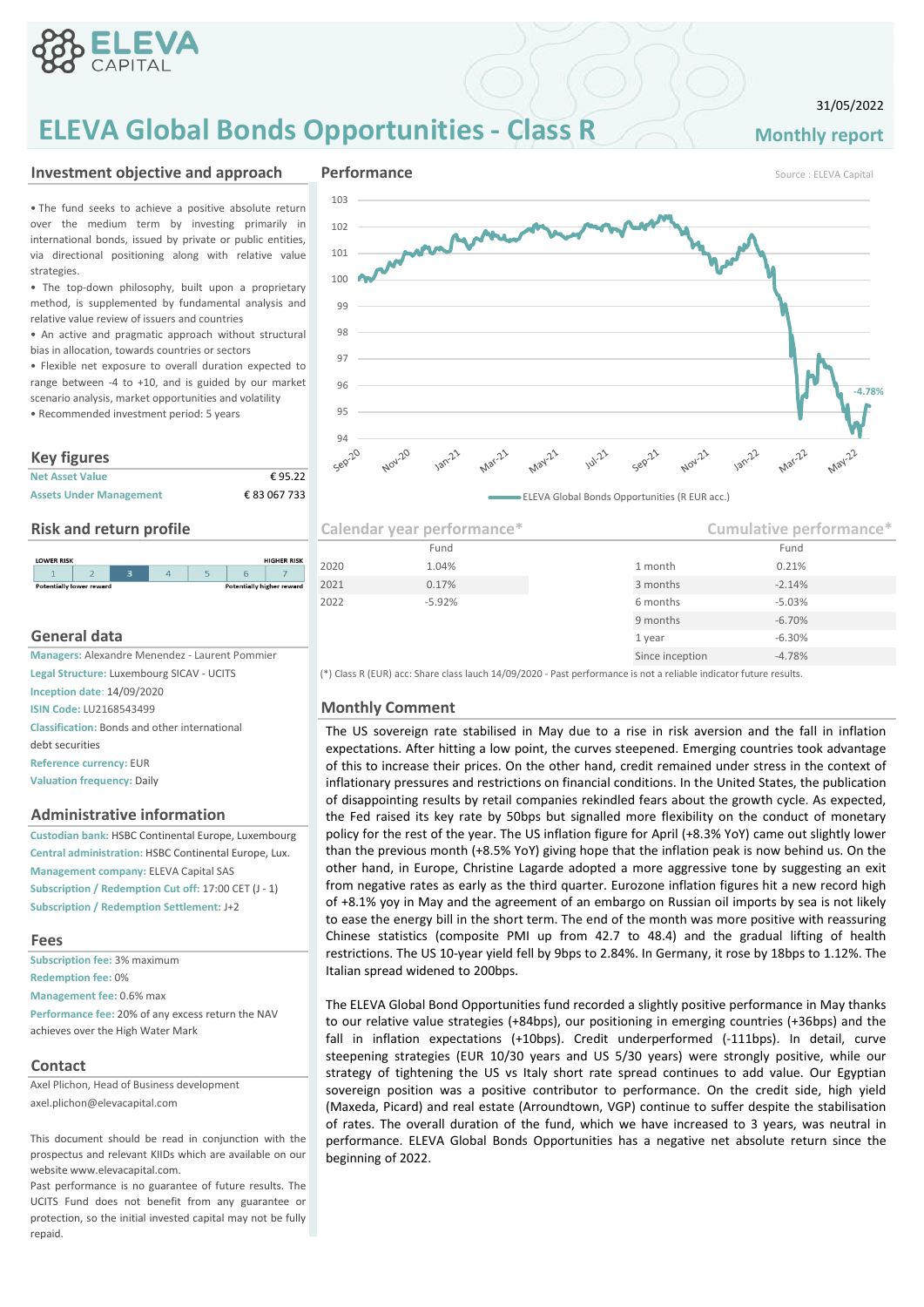

# **ELEVA Global Bonds Opportunities - Class R Monthly report**

## 31/05/2022

### **Investment objective and approach experience and approach experience of the <b>Performance** Source : ELEVA Capital

• The fund seeks to achieve a positive absolute return over the medium term by investing primarily in international bonds, issued by private or public entities, via directional positioning along with relative value strategies.

• The top-down philosophy, built upon a proprietary method, is supplemented by fundamental analysis and relative value review of issuers and countries

• An active and pragmatic approach without structural bias in allocation, towards countries or sectors

• Flexible net exposure to overall duration expected to range between -4 to +10, and is guided by our market scenario analysis, market opportunities and volatility • Recommended investment period: 5 years

## **Key figures**

| <b>Net Asset Value</b>         | €95.22       |
|--------------------------------|--------------|
| <b>Assets Under Management</b> | € 83 067 733 |



## **General data**

**Legal Structure:** Luxembourg SICAV - UCITS **Inception date**: 14/09/2020 **ISIN Code: LU2168543499 Monthly Comment Classification:** Bonds and other international debt securities **Reference currency:** EUR **Valuation frequency:** Daily

### **Administrative information**

**Custodian bank:** HSBC Continental Europe, Luxembourg **Central administration:** HSBC Continental Europe, Lux. **Management company:** ELEVA Capital SAS **Subscription / Redemption Cut off:** 17:00 CET (J - 1) **Subscription / Redemption Settlement:** J+2

### **Fees**

**Subscription fee:** 3% maximum **Redemption fee:** 0% **Management fee:** 0.6% max **Performance fee:** 20% of any excess return the NAV achieves over the High Water Mark

### **Contact**

Axel Plichon, Head of Business development axel.plichon@elevacapital.com

This document should be read in conjunction with the prospectus and relevant KIIDs which are available on our website www.elevacapital.com.

Past performance is no guarantee of future results. The UCITS Fund does not benefit from any guarantee or protection, so the initial invested capital may not be fully repaid.







**Risk and return profile Calendar year performance<sup>\*</sup>** 9 months -6.70% 1 year -6.30% **Managers: Alexandre Menendez - Laurent Pommier Since inception** Since inception -4.78% 2021 0.17% 2021 0.17% 2021 0.17% 2021 0.17% 2021 0.17% 2021 0.17% 2021 0.17% 2021 2022 -5.92% 6 months -5.03% **Cumulative performance\*** Fund Fund 2020 1.04% 1 month 0.21%

(\*) Class R (EUR) acc: Share class lauch 14/09/2020 - Past performance is not a reliable indicator future results.

The US sovereign rate stabilised in May due to a rise in risk aversion and the fall in inflation expectations. After hitting a low point, the curves steepened. Emerging countries took advantage of this to increase their prices. On the other hand, credit remained under stress in the context of inflationary pressures and restrictions on financial conditions. In the United States, the publication of disappointing results by retail companies rekindled fears about the growth cycle. As expected, the Fed raised its key rate by 50bps but signalled more flexibility on the conduct of monetary policy for the rest of the year. The US inflation figure for April (+8.3% YoY) came out slightly lower than the previous month (+8.5% YoY) giving hope that the inflation peak is now behind us. On the other hand, in Europe, Christine Lagarde adopted a more aggressive tone by suggesting an exit from negative rates as early as the third quarter. Eurozone inflation figures hit a new record high of +8.1% yoy in May and the agreement of an embargo on Russian oil imports by sea is not likely to ease the energy bill in the short term. The end of the month was more positive with reassuring Chinese statistics (composite PMI up from 42.7 to 48.4) and the gradual lifting of health restrictions. The US 10-year yield fell by 9bps to 2.84%. In Germany, it rose by 18bps to 1.12%. The Italian spread widened to 200bps.

The ELEVA Global Bond Opportunities fund recorded a slightly positive performance in May thanks to our relative value strategies (+84bps), our positioning in emerging countries (+36bps) and the fall in inflation expectations (+10bps). Credit underperformed (-111bps). In detail, curve steepening strategies (EUR 10/30 years and US 5/30 years) were strongly positive, while our strategy of tightening the US vs Italy short rate spread continues to add value. Our Egyptian sovereign position was a positive contributor to performance. On the credit side, high yield (Maxeda, Picard) and real estate (Arroundtown, VGP) continue to suffer despite the stabilisation of rates. The overall duration of the fund, which we have increased to 3 years, was neutral in performance. ELEVA Global Bonds Opportunities has a negative net absolute return since the beginning of 2022.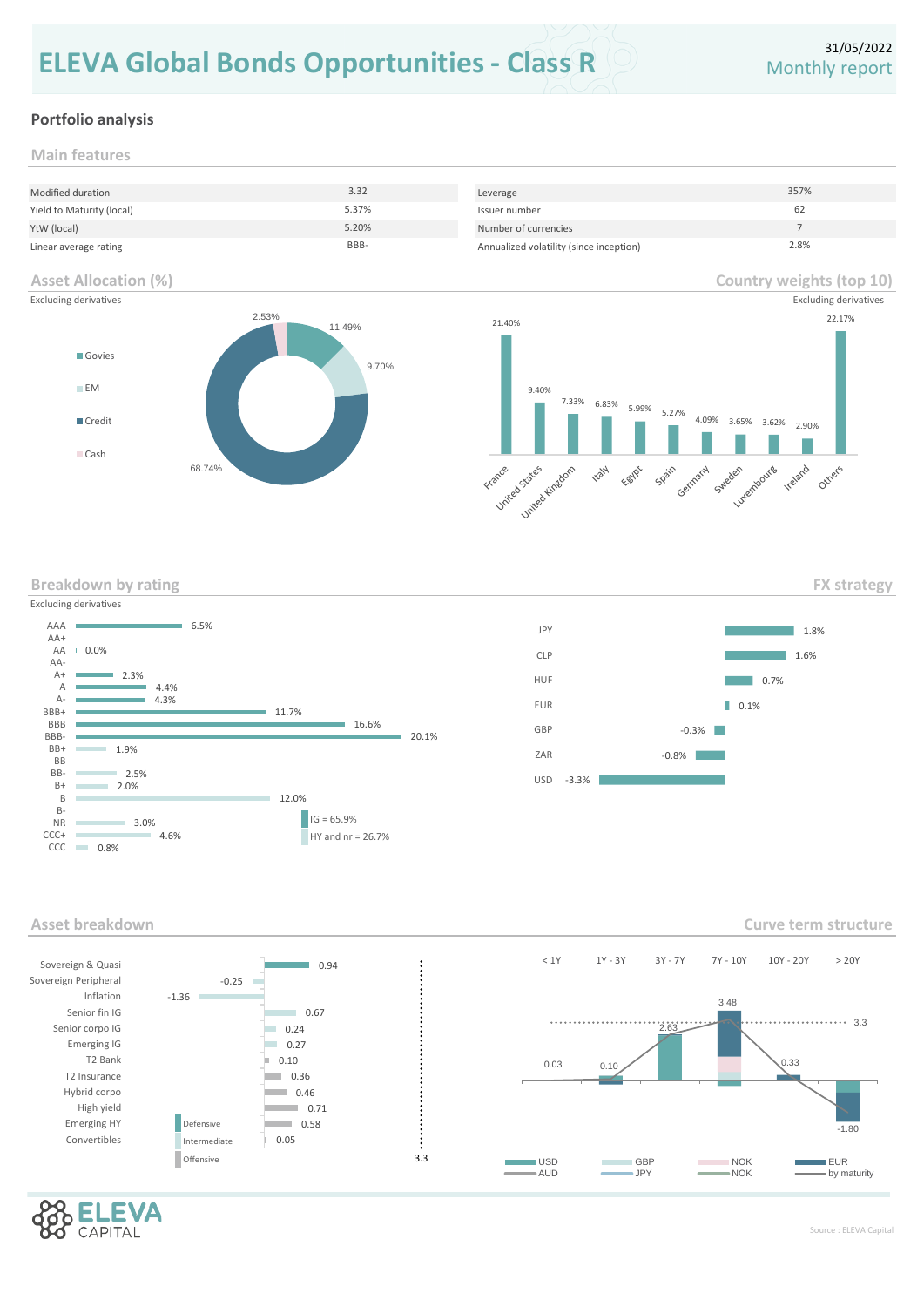# **ELEVA Global Bonds Opportunities - Class R** Monthly report

# **Portfolio analysis**

**Main features**

repaid.

| Modified duration         | 3.32  | Leverage                                | 357% |
|---------------------------|-------|-----------------------------------------|------|
| Yield to Maturity (local) | 5.37% | Issuer number                           | 62   |
| YtW (local)               | 5.20% | Number of currencies                    |      |
| Linear average rating     | BBB-  | Annualized volatility (since inception) | 2.8% |

## **Asset Allocation (%)**



# **Country weights (top 10)**



**Breakdown by rating**





**Asset breakdown**



/Δ CAPITAL

**Curve term structure**

**FX strategy**



Source : ELEVA Capital